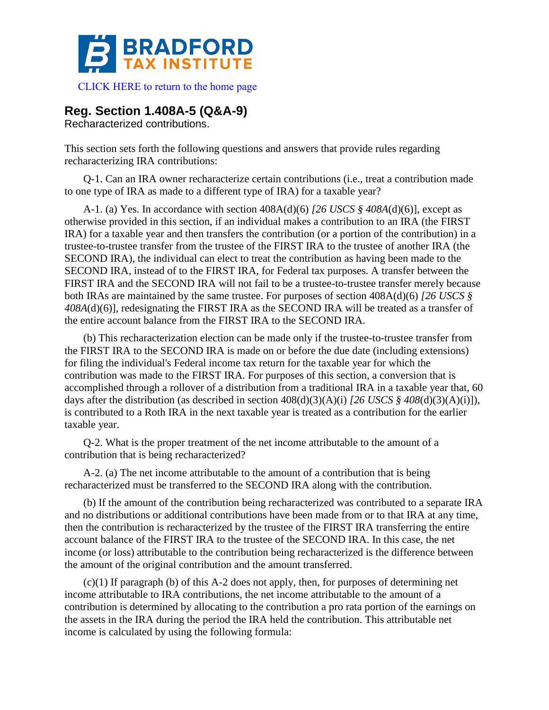

## **Reg. Section 1.408A-5 (Q&A-9)**

Recharacterized contributions.

This section sets forth the following questions and answers that provide rules regarding recharacterizing IRA contributions:

Q-1. Can an IRA owner recharacterize certain contributions (i.e., treat a contribution made to one type of IRA as made to a different type of IRA) for a taxable year?

A-1. (a) Yes. In accordance with section 408A(d)(6) *[26 USCS § 408A*(d)(6)], except as otherwise provided in this section, if an individual makes a contribution to an IRA (the FIRST IRA) for a taxable year and then transfers the contribution (or a portion of the contribution) in a trustee-to-trustee transfer from the trustee of the FIRST IRA to the trustee of another IRA (the SECOND IRA), the individual can elect to treat the contribution as having been made to the SECOND IRA, instead of to the FIRST IRA, for Federal tax purposes. A transfer between the FIRST IRA and the SECOND IRA will not fail to be a trustee-to-trustee transfer merely because both IRAs are maintained by the same trustee. For purposes of section 408A(d)(6) *[26 USCS § 408A*(d)(6)], redesignating the FIRST IRA as the SECOND IRA will be treated as a transfer of the entire account balance from the FIRST IRA to the SECOND IRA.

(b) This recharacterization election can be made only if the trustee-to-trustee transfer from the FIRST IRA to the SECOND IRA is made on or before the due date (including extensions) for filing the individual's Federal income tax return for the taxable year for which the contribution was made to the FIRST IRA. For purposes of this section, a conversion that is accomplished through a rollover of a distribution from a traditional IRA in a taxable year that, 60 days after the distribution (as described in section 408(d)(3)(A)(i) *[26 USCS § 408*(d)(3)(A)(i)]), is contributed to a Roth IRA in the next taxable year is treated as a contribution for the earlier taxable year.

Q-2. What is the proper treatment of the net income attributable to the amount of a contribution that is being recharacterized?

A-2. (a) The net income attributable to the amount of a contribution that is being recharacterized must be transferred to the SECOND IRA along with the contribution.

(b) If the amount of the contribution being recharacterized was contributed to a separate IRA and no distributions or additional contributions have been made from or to that IRA at any time, then the contribution is recharacterized by the trustee of the FIRST IRA transferring the entire account balance of the FIRST IRA to the trustee of the SECOND IRA. In this case, the net income (or loss) attributable to the contribution being recharacterized is the difference between the amount of the original contribution and the amount transferred.

(c)(1) If paragraph (b) of this A-2 does not apply, then, for purposes of determining net income attributable to IRA contributions, the net income attributable to the amount of a contribution is determined by allocating to the contribution a pro rata portion of the earnings on the assets in the IRA during the period the IRA held the contribution. This attributable net income is calculated by using the following formula: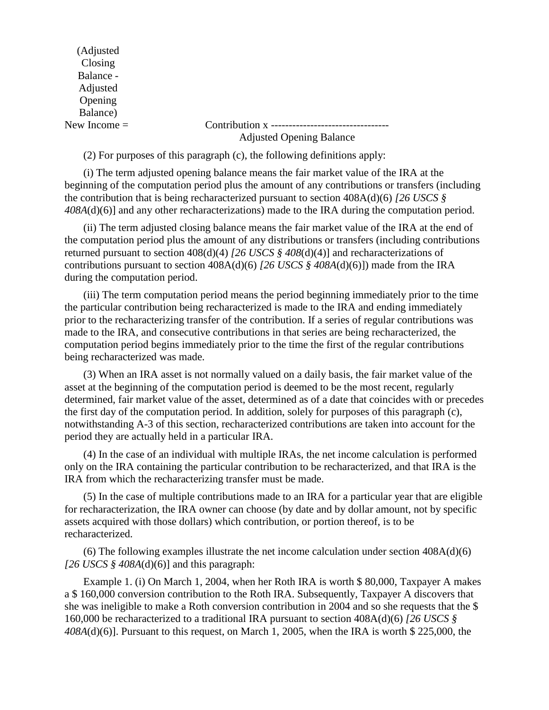(Adjusted Closing Balance - Adjusted Opening Balance)

## New Income = Contribution x --------------------------------- Adjusted Opening Balance

(2) For purposes of this paragraph (c), the following definitions apply:

(i) The term adjusted opening balance means the fair market value of the IRA at the beginning of the computation period plus the amount of any contributions or transfers (including the contribution that is being recharacterized pursuant to section 408A(d)(6) *[26 USCS § 408A*(d)(6)] and any other recharacterizations) made to the IRA during the computation period.

(ii) The term adjusted closing balance means the fair market value of the IRA at the end of the computation period plus the amount of any distributions or transfers (including contributions returned pursuant to section 408(d)(4) *[26 USCS § 408*(d)(4)] and recharacterizations of contributions pursuant to section 408A(d)(6) *[26 USCS § 408A*(d)(6)]) made from the IRA during the computation period.

(iii) The term computation period means the period beginning immediately prior to the time the particular contribution being recharacterized is made to the IRA and ending immediately prior to the recharacterizing transfer of the contribution. If a series of regular contributions was made to the IRA, and consecutive contributions in that series are being recharacterized, the computation period begins immediately prior to the time the first of the regular contributions being recharacterized was made.

(3) When an IRA asset is not normally valued on a daily basis, the fair market value of the asset at the beginning of the computation period is deemed to be the most recent, regularly determined, fair market value of the asset, determined as of a date that coincides with or precedes the first day of the computation period. In addition, solely for purposes of this paragraph (c), notwithstanding A-3 of this section, recharacterized contributions are taken into account for the period they are actually held in a particular IRA.

(4) In the case of an individual with multiple IRAs, the net income calculation is performed only on the IRA containing the particular contribution to be recharacterized, and that IRA is the IRA from which the recharacterizing transfer must be made.

(5) In the case of multiple contributions made to an IRA for a particular year that are eligible for recharacterization, the IRA owner can choose (by date and by dollar amount, not by specific assets acquired with those dollars) which contribution, or portion thereof, is to be recharacterized.

(6) The following examples illustrate the net income calculation under section 408A(d)(6) *[26 USCS § 408A*(d)(6)] and this paragraph:

Example 1. (i) On March 1, 2004, when her Roth IRA is worth \$ 80,000, Taxpayer A makes a \$ 160,000 conversion contribution to the Roth IRA. Subsequently, Taxpayer A discovers that she was ineligible to make a Roth conversion contribution in 2004 and so she requests that the \$ 160,000 be recharacterized to a traditional IRA pursuant to section 408A(d)(6) *[26 USCS § 408A*(d)(6)]. Pursuant to this request, on March 1, 2005, when the IRA is worth \$ 225,000, the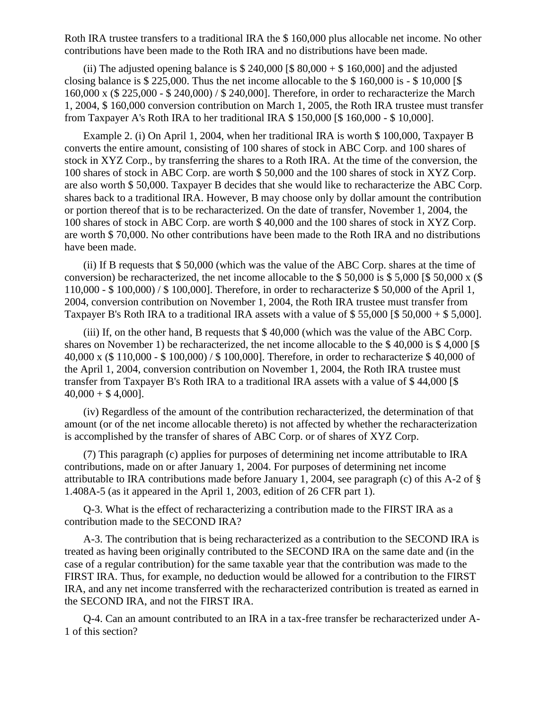Roth IRA trustee transfers to a traditional IRA the \$ 160,000 plus allocable net income. No other contributions have been made to the Roth IRA and no distributions have been made.

(ii) The adjusted opening balance is  $$ 240,000 [ $ 80,000 + $ 160,000]$  and the adjusted closing balance is \$ 225,000. Thus the net income allocable to the \$ 160,000 is - \$ 10,000 [\$ 160,000 x (\$ 225,000 - \$ 240,000) / \$ 240,000]. Therefore, in order to recharacterize the March 1, 2004, \$ 160,000 conversion contribution on March 1, 2005, the Roth IRA trustee must transfer from Taxpayer A's Roth IRA to her traditional IRA \$ 150,000 [\$ 160,000 - \$ 10,000].

Example 2. (i) On April 1, 2004, when her traditional IRA is worth \$ 100,000, Taxpayer B converts the entire amount, consisting of 100 shares of stock in ABC Corp. and 100 shares of stock in XYZ Corp., by transferring the shares to a Roth IRA. At the time of the conversion, the 100 shares of stock in ABC Corp. are worth \$ 50,000 and the 100 shares of stock in XYZ Corp. are also worth \$ 50,000. Taxpayer B decides that she would like to recharacterize the ABC Corp. shares back to a traditional IRA. However, B may choose only by dollar amount the contribution or portion thereof that is to be recharacterized. On the date of transfer, November 1, 2004, the 100 shares of stock in ABC Corp. are worth \$ 40,000 and the 100 shares of stock in XYZ Corp. are worth \$ 70,000. No other contributions have been made to the Roth IRA and no distributions have been made.

(ii) If B requests that \$ 50,000 (which was the value of the ABC Corp. shares at the time of conversion) be recharacterized, the net income allocable to the \$50,000 is \$5,000 [\$50,000 x (\$) 110,000 - \$ 100,000) / \$ 100,000]. Therefore, in order to recharacterize \$ 50,000 of the April 1, 2004, conversion contribution on November 1, 2004, the Roth IRA trustee must transfer from Taxpayer B's Roth IRA to a traditional IRA assets with a value of \$55,000 [\$50,000 + \$5,000].

(iii) If, on the other hand, B requests that \$ 40,000 (which was the value of the ABC Corp. shares on November 1) be recharacterized, the net income allocable to the \$ 40,000 is \$ 4,000 [\$ 40,000 x (\$ 110,000 - \$ 100,000) / \$ 100,000]. Therefore, in order to recharacterize \$ 40,000 of the April 1, 2004, conversion contribution on November 1, 2004, the Roth IRA trustee must transfer from Taxpayer B's Roth IRA to a traditional IRA assets with a value of \$ 44,000 [\$  $40,000 + $4,000$ .

(iv) Regardless of the amount of the contribution recharacterized, the determination of that amount (or of the net income allocable thereto) is not affected by whether the recharacterization is accomplished by the transfer of shares of ABC Corp. or of shares of XYZ Corp.

(7) This paragraph (c) applies for purposes of determining net income attributable to IRA contributions, made on or after January 1, 2004. For purposes of determining net income attributable to IRA contributions made before January 1, 2004, see paragraph (c) of this A-2 of § 1.408A-5 (as it appeared in the April 1, 2003, edition of 26 CFR part 1).

Q-3. What is the effect of recharacterizing a contribution made to the FIRST IRA as a contribution made to the SECOND IRA?

A-3. The contribution that is being recharacterized as a contribution to the SECOND IRA is treated as having been originally contributed to the SECOND IRA on the same date and (in the case of a regular contribution) for the same taxable year that the contribution was made to the FIRST IRA. Thus, for example, no deduction would be allowed for a contribution to the FIRST IRA, and any net income transferred with the recharacterized contribution is treated as earned in the SECOND IRA, and not the FIRST IRA.

Q-4. Can an amount contributed to an IRA in a tax-free transfer be recharacterized under A-1 of this section?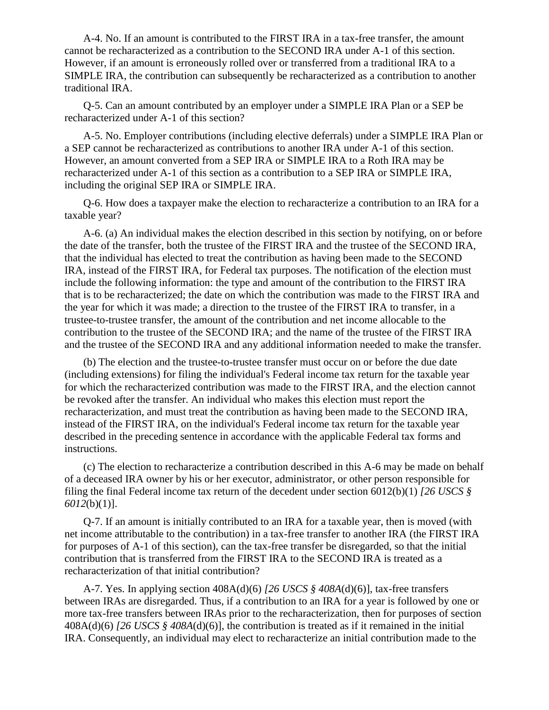A-4. No. If an amount is contributed to the FIRST IRA in a tax-free transfer, the amount cannot be recharacterized as a contribution to the SECOND IRA under A-1 of this section. However, if an amount is erroneously rolled over or transferred from a traditional IRA to a SIMPLE IRA, the contribution can subsequently be recharacterized as a contribution to another traditional IRA.

Q-5. Can an amount contributed by an employer under a SIMPLE IRA Plan or a SEP be recharacterized under A-1 of this section?

A-5. No. Employer contributions (including elective deferrals) under a SIMPLE IRA Plan or a SEP cannot be recharacterized as contributions to another IRA under A-1 of this section. However, an amount converted from a SEP IRA or SIMPLE IRA to a Roth IRA may be recharacterized under A-1 of this section as a contribution to a SEP IRA or SIMPLE IRA, including the original SEP IRA or SIMPLE IRA.

Q-6. How does a taxpayer make the election to recharacterize a contribution to an IRA for a taxable year?

A-6. (a) An individual makes the election described in this section by notifying, on or before the date of the transfer, both the trustee of the FIRST IRA and the trustee of the SECOND IRA, that the individual has elected to treat the contribution as having been made to the SECOND IRA, instead of the FIRST IRA, for Federal tax purposes. The notification of the election must include the following information: the type and amount of the contribution to the FIRST IRA that is to be recharacterized; the date on which the contribution was made to the FIRST IRA and the year for which it was made; a direction to the trustee of the FIRST IRA to transfer, in a trustee-to-trustee transfer, the amount of the contribution and net income allocable to the contribution to the trustee of the SECOND IRA; and the name of the trustee of the FIRST IRA and the trustee of the SECOND IRA and any additional information needed to make the transfer.

(b) The election and the trustee-to-trustee transfer must occur on or before the due date (including extensions) for filing the individual's Federal income tax return for the taxable year for which the recharacterized contribution was made to the FIRST IRA, and the election cannot be revoked after the transfer. An individual who makes this election must report the recharacterization, and must treat the contribution as having been made to the SECOND IRA, instead of the FIRST IRA, on the individual's Federal income tax return for the taxable year described in the preceding sentence in accordance with the applicable Federal tax forms and instructions.

(c) The election to recharacterize a contribution described in this A-6 may be made on behalf of a deceased IRA owner by his or her executor, administrator, or other person responsible for filing the final Federal income tax return of the decedent under section 6012(b)(1) *[26 USCS § 6012*(b)(1)].

Q-7. If an amount is initially contributed to an IRA for a taxable year, then is moved (with net income attributable to the contribution) in a tax-free transfer to another IRA (the FIRST IRA for purposes of A-1 of this section), can the tax-free transfer be disregarded, so that the initial contribution that is transferred from the FIRST IRA to the SECOND IRA is treated as a recharacterization of that initial contribution?

A-7. Yes. In applying section 408A(d)(6) *[26 USCS § 408A*(d)(6)], tax-free transfers between IRAs are disregarded. Thus, if a contribution to an IRA for a year is followed by one or more tax-free transfers between IRAs prior to the recharacterization, then for purposes of section 408A(d)(6) *[26 USCS § 408A*(d)(6)], the contribution is treated as if it remained in the initial IRA. Consequently, an individual may elect to recharacterize an initial contribution made to the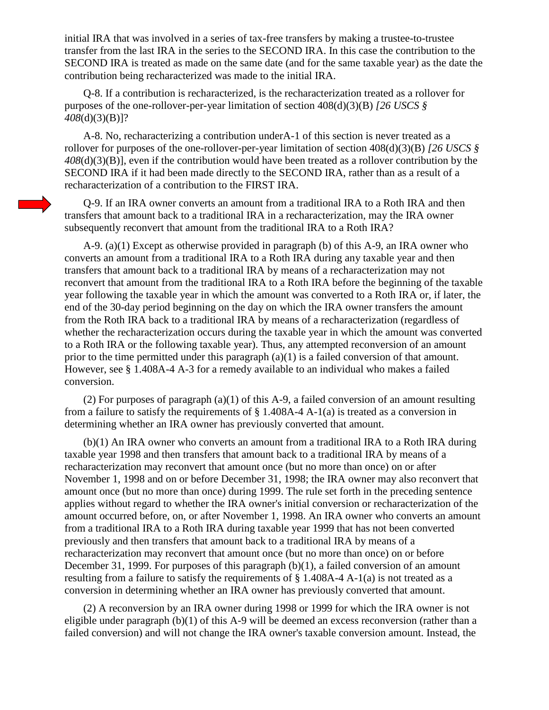initial IRA that was involved in a series of tax-free transfers by making a trustee-to-trustee transfer from the last IRA in the series to the SECOND IRA. In this case the contribution to the SECOND IRA is treated as made on the same date (and for the same taxable year) as the date the contribution being recharacterized was made to the initial IRA.

Q-8. If a contribution is recharacterized, is the recharacterization treated as a rollover for purposes of the one-rollover-per-year limitation of section 408(d)(3)(B) *[26 USCS § 408*(d)(3)(B)]?

A-8. No, recharacterizing a contribution underA-1 of this section is never treated as a rollover for purposes of the one-rollover-per-year limitation of section 408(d)(3)(B) *[26 USCS § 408*(d)(3)(B)], even if the contribution would have been treated as a rollover contribution by the SECOND IRA if it had been made directly to the SECOND IRA, rather than as a result of a recharacterization of a contribution to the FIRST IRA.

Q-9. If an IRA owner converts an amount from a traditional IRA to a Roth IRA and then transfers that amount back to a traditional IRA in a recharacterization, may the IRA owner subsequently reconvert that amount from the traditional IRA to a Roth IRA?

A-9. (a)(1) Except as otherwise provided in paragraph (b) of this A-9, an IRA owner who converts an amount from a traditional IRA to a Roth IRA during any taxable year and then transfers that amount back to a traditional IRA by means of a recharacterization may not reconvert that amount from the traditional IRA to a Roth IRA before the beginning of the taxable year following the taxable year in which the amount was converted to a Roth IRA or, if later, the end of the 30-day period beginning on the day on which the IRA owner transfers the amount from the Roth IRA back to a traditional IRA by means of a recharacterization (regardless of whether the recharacterization occurs during the taxable year in which the amount was converted to a Roth IRA or the following taxable year). Thus, any attempted reconversion of an amount prior to the time permitted under this paragraph (a)(1) is a failed conversion of that amount. However, see § 1.408A-4 A-3 for a remedy available to an individual who makes a failed conversion.

(2) For purposes of paragraph (a)(1) of this A-9, a failed conversion of an amount resulting from a failure to satisfy the requirements of  $\S$  1.408A-4 A-1(a) is treated as a conversion in determining whether an IRA owner has previously converted that amount.

(b)(1) An IRA owner who converts an amount from a traditional IRA to a Roth IRA during taxable year 1998 and then transfers that amount back to a traditional IRA by means of a recharacterization may reconvert that amount once (but no more than once) on or after November 1, 1998 and on or before December 31, 1998; the IRA owner may also reconvert that amount once (but no more than once) during 1999. The rule set forth in the preceding sentence applies without regard to whether the IRA owner's initial conversion or recharacterization of the amount occurred before, on, or after November 1, 1998. An IRA owner who converts an amount from a traditional IRA to a Roth IRA during taxable year 1999 that has not been converted previously and then transfers that amount back to a traditional IRA by means of a recharacterization may reconvert that amount once (but no more than once) on or before December 31, 1999. For purposes of this paragraph (b)(1), a failed conversion of an amount resulting from a failure to satisfy the requirements of § 1.408A-4 A-1(a) is not treated as a conversion in determining whether an IRA owner has previously converted that amount.

(2) A reconversion by an IRA owner during 1998 or 1999 for which the IRA owner is not eligible under paragraph (b)(1) of this A-9 will be deemed an excess reconversion (rather than a failed conversion) and will not change the IRA owner's taxable conversion amount. Instead, the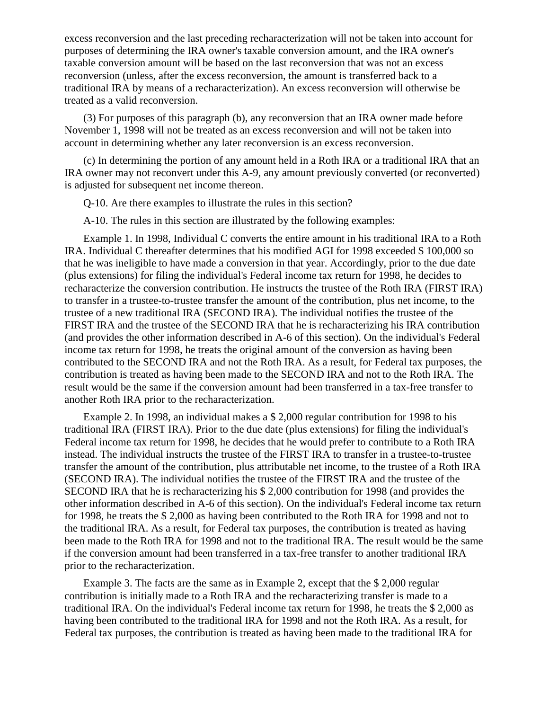excess reconversion and the last preceding recharacterization will not be taken into account for purposes of determining the IRA owner's taxable conversion amount, and the IRA owner's taxable conversion amount will be based on the last reconversion that was not an excess reconversion (unless, after the excess reconversion, the amount is transferred back to a traditional IRA by means of a recharacterization). An excess reconversion will otherwise be treated as a valid reconversion.

(3) For purposes of this paragraph (b), any reconversion that an IRA owner made before November 1, 1998 will not be treated as an excess reconversion and will not be taken into account in determining whether any later reconversion is an excess reconversion.

(c) In determining the portion of any amount held in a Roth IRA or a traditional IRA that an IRA owner may not reconvert under this A-9, any amount previously converted (or reconverted) is adjusted for subsequent net income thereon.

Q-10. Are there examples to illustrate the rules in this section?

A-10. The rules in this section are illustrated by the following examples:

Example 1. In 1998, Individual C converts the entire amount in his traditional IRA to a Roth IRA. Individual C thereafter determines that his modified AGI for 1998 exceeded \$ 100,000 so that he was ineligible to have made a conversion in that year. Accordingly, prior to the due date (plus extensions) for filing the individual's Federal income tax return for 1998, he decides to recharacterize the conversion contribution. He instructs the trustee of the Roth IRA (FIRST IRA) to transfer in a trustee-to-trustee transfer the amount of the contribution, plus net income, to the trustee of a new traditional IRA (SECOND IRA). The individual notifies the trustee of the FIRST IRA and the trustee of the SECOND IRA that he is recharacterizing his IRA contribution (and provides the other information described in A-6 of this section). On the individual's Federal income tax return for 1998, he treats the original amount of the conversion as having been contributed to the SECOND IRA and not the Roth IRA. As a result, for Federal tax purposes, the contribution is treated as having been made to the SECOND IRA and not to the Roth IRA. The result would be the same if the conversion amount had been transferred in a tax-free transfer to another Roth IRA prior to the recharacterization.

Example 2. In 1998, an individual makes a \$ 2,000 regular contribution for 1998 to his traditional IRA (FIRST IRA). Prior to the due date (plus extensions) for filing the individual's Federal income tax return for 1998, he decides that he would prefer to contribute to a Roth IRA instead. The individual instructs the trustee of the FIRST IRA to transfer in a trustee-to-trustee transfer the amount of the contribution, plus attributable net income, to the trustee of a Roth IRA (SECOND IRA). The individual notifies the trustee of the FIRST IRA and the trustee of the SECOND IRA that he is recharacterizing his \$ 2,000 contribution for 1998 (and provides the other information described in A-6 of this section). On the individual's Federal income tax return for 1998, he treats the \$ 2,000 as having been contributed to the Roth IRA for 1998 and not to the traditional IRA. As a result, for Federal tax purposes, the contribution is treated as having been made to the Roth IRA for 1998 and not to the traditional IRA. The result would be the same if the conversion amount had been transferred in a tax-free transfer to another traditional IRA prior to the recharacterization.

Example 3. The facts are the same as in Example 2, except that the \$ 2,000 regular contribution is initially made to a Roth IRA and the recharacterizing transfer is made to a traditional IRA. On the individual's Federal income tax return for 1998, he treats the \$ 2,000 as having been contributed to the traditional IRA for 1998 and not the Roth IRA. As a result, for Federal tax purposes, the contribution is treated as having been made to the traditional IRA for